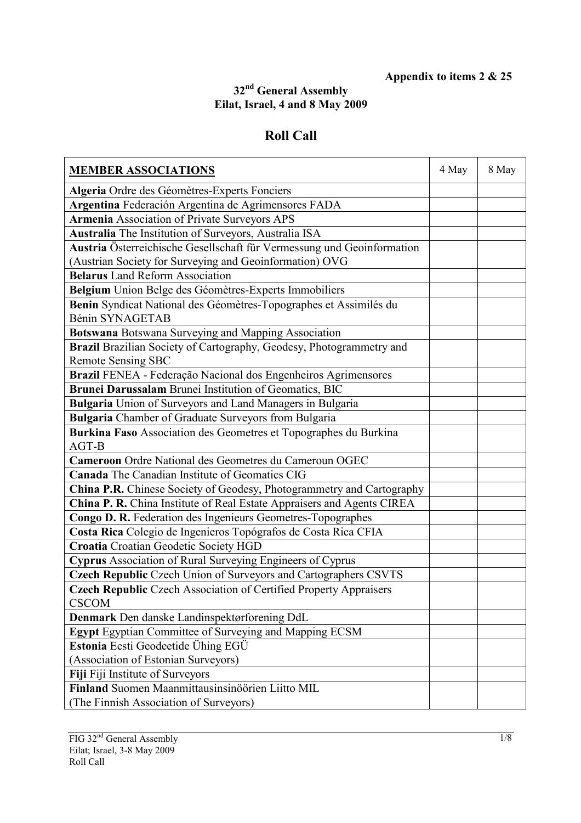## **Appendix to items 2 & 25**

## **32nd General Assembly Eilat, Israel, 4 and 8 May 2009**

## **Roll Call**

| <b>MEMBER ASSOCIATIONS</b>                                                                 | 4 May | 8 May |
|--------------------------------------------------------------------------------------------|-------|-------|
| Algeria Ordre des Géomètres-Experts Fonciers                                               |       |       |
| Argentina Federación Argentina de Agrimensores FADA                                        |       |       |
| <b>Armenia Association of Private Surveyors APS</b>                                        |       |       |
| Australia The Institution of Surveyors, Australia ISA                                      |       |       |
| Austria Österreichische Gesellschaft für Vermessung und Geoinformation                     |       |       |
| (Austrian Society for Surveying and Geoinformation) OVG                                    |       |       |
| <b>Belarus</b> Land Reform Association                                                     |       |       |
| Belgium Union Belge des Géomètres-Experts Immobiliers                                      |       |       |
| Benin Syndicat National des Géomètres-Topographes et Assimilés du                          |       |       |
| Bénin SYNAGETAB                                                                            |       |       |
| Botswana Botswana Surveying and Mapping Association                                        |       |       |
| Brazil Brazilian Society of Cartography, Geodesy, Photogrammetry and                       |       |       |
| <b>Remote Sensing SBC</b>                                                                  |       |       |
| Brazil FENEA - Federação Nacional dos Engenheiros Agrimensores                             |       |       |
| Brunei Darussalam Brunei Institution of Geomatics, BIC                                     |       |       |
| Bulgaria Union of Surveyors and Land Managers in Bulgaria                                  |       |       |
| Bulgaria Chamber of Graduate Surveyors from Bulgaria                                       |       |       |
| Burkina Faso Association des Geometres et Topographes du Burkina                           |       |       |
| AGT-B                                                                                      |       |       |
| Cameroon Ordre National des Geometres du Cameroun OGEC                                     |       |       |
| <b>Canada</b> The Canadian Institute of Geomatics CIG                                      |       |       |
| China P.R. Chinese Society of Geodesy, Photogrammetry and Cartography                      |       |       |
| China P. R. China Institute of Real Estate Appraisers and Agents CIREA                     |       |       |
| Congo D. R. Federation des Ingenieurs Geometres-Topographes                                |       |       |
| Costa Rica Colegio de Ingenieros Topógrafos de Costa Rica CFIA                             |       |       |
| Croatia Croatian Geodetic Society HGD                                                      |       |       |
| Cyprus Association of Rural Surveying Engineers of Cyprus                                  |       |       |
| Czech Republic Czech Union of Surveyors and Cartographers CSVTS                            |       |       |
| <b>Czech Republic Czech Association of Certified Property Appraisers</b>                   |       |       |
| <b>CSCOM</b>                                                                               |       |       |
| Denmark Den danske Landinspektørforening DdL                                               |       |       |
| Egypt Egyptian Committee of Surveying and Mapping ECSM                                     |       |       |
| Estonia Eesti Geodeetide Ühing EGÜ                                                         |       |       |
| (Association of Estonian Surveyors)                                                        |       |       |
| Fiji Fiji Institute of Surveyors                                                           |       |       |
| Finland Suomen Maanmittausinsinöörien Liitto MIL<br>(The Finnish Association of Surveyors) |       |       |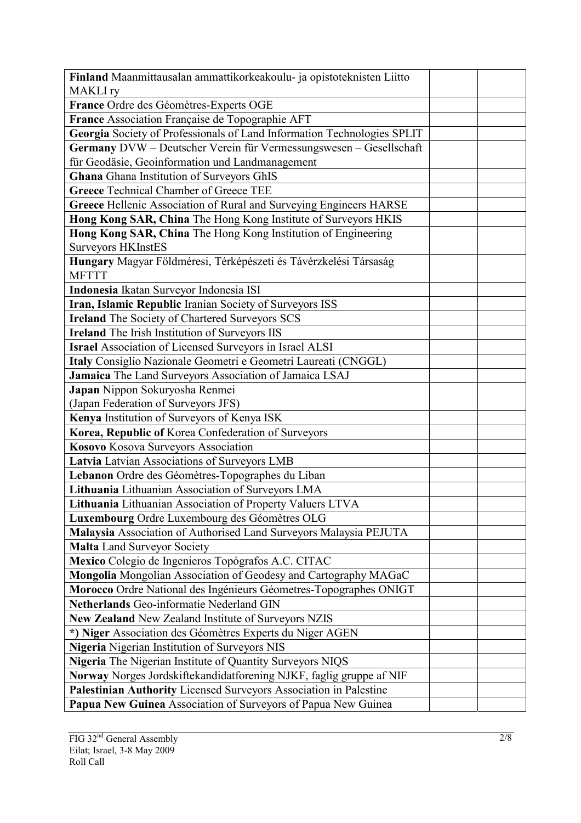| Finland Maanmittausalan ammattikorkeakoulu- ja opistoteknisten Liitto   |
|-------------------------------------------------------------------------|
| <b>MAKLI</b> ry                                                         |
| France Ordre des Géomètres-Experts OGE                                  |
| France Association Française de Topographie AFT                         |
| Georgia Society of Professionals of Land Information Technologies SPLIT |
| Germany DVW - Deutscher Verein für Vermessungswesen - Gesellschaft      |
| für Geodäsie, Geoinformation und Landmanagement                         |
| <b>Ghana</b> Ghana Institution of Surveyors GhIS                        |
| <b>Greece Technical Chamber of Greece TEE</b>                           |
| Greece Hellenic Association of Rural and Surveying Engineers HARSE      |
| Hong Kong SAR, China The Hong Kong Institute of Surveyors HKIS          |
| Hong Kong SAR, China The Hong Kong Institution of Engineering           |
| <b>Surveyors HKInstES</b>                                               |
| Hungary Magyar Földméresi, Térképészeti és Távérzkelési Társaság        |
| <b>MFTTT</b>                                                            |
| Indonesia Ikatan Surveyor Indonesia ISI                                 |
| Iran, Islamic Republic Iranian Society of Surveyors ISS                 |
| <b>Ireland</b> The Society of Chartered Surveyors SCS                   |
| <b>Ireland</b> The Irish Institution of Surveyors IIS                   |
| <b>Israel Association of Licensed Surveyors in Israel ALSI</b>          |
| Italy Consiglio Nazionale Geometri e Geometri Laureati (CNGGL)          |
| Jamaica The Land Surveyors Association of Jamaica LSAJ                  |
| Japan Nippon Sokuryosha Renmei                                          |
| (Japan Federation of Surveyors JFS)                                     |
| Kenya Institution of Surveyors of Kenya ISK                             |
| Korea, Republic of Korea Confederation of Surveyors                     |
| Kosovo Kosova Surveyors Association                                     |
| Latvia Latvian Associations of Surveyors LMB                            |
| Lebanon Ordre des Géomètres-Topographes du Liban                        |
| Lithuania Lithuanian Association of Surveyors LMA                       |
| Lithuania Lithuanian Association of Property Valuers LTVA               |
| Luxembourg Ordre Luxembourg des Géomètres OLG                           |
| Malaysia Association of Authorised Land Surveyors Malaysia PEJUTA       |
| <b>Malta Land Surveyor Society</b>                                      |
| Mexico Colegio de Ingenieros Topógrafos A.C. CITAC                      |
| Mongolia Mongolian Association of Geodesy and Cartography MAGaC         |
| Morocco Ordre National des Ingénieurs Géometres-Topographes ONIGT       |
| Netherlands Geo-informatie Nederland GIN                                |
| New Zealand New Zealand Institute of Surveyors NZIS                     |
| *) Niger Association des Géomètres Experts du Niger AGEN                |
| Nigeria Nigerian Institution of Surveyors NIS                           |
| Nigeria The Nigerian Institute of Quantity Surveyors NIQS               |
| Norway Norges Jordskiftekandidatforening NJKF, faglig gruppe af NIF     |
| Palestinian Authority Licensed Surveyors Association in Palestine       |
| Papua New Guinea Association of Surveyors of Papua New Guinea           |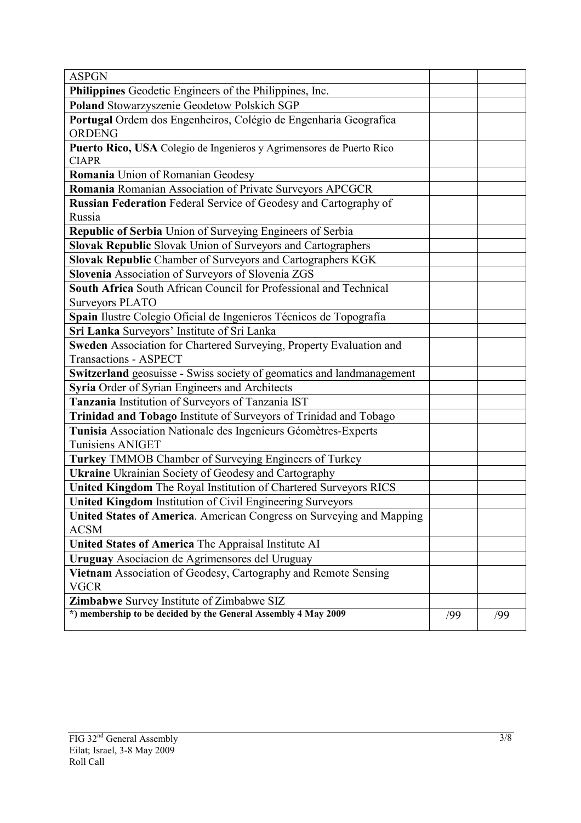| <b>ASPGN</b>                                                                         |     |     |
|--------------------------------------------------------------------------------------|-----|-----|
| Philippines Geodetic Engineers of the Philippines, Inc.                              |     |     |
| Poland Stowarzyszenie Geodetow Polskich SGP                                          |     |     |
| Portugal Ordem dos Engenheiros, Colégio de Engenharia Geografica<br><b>ORDENG</b>    |     |     |
| Puerto Rico, USA Colegio de Ingenieros y Agrimensores de Puerto Rico<br><b>CIAPR</b> |     |     |
| Romania Union of Romanian Geodesy                                                    |     |     |
| Romania Romanian Association of Private Surveyors APCGCR                             |     |     |
| <b>Russian Federation</b> Federal Service of Geodesy and Cartography of              |     |     |
| Russia                                                                               |     |     |
| Republic of Serbia Union of Surveying Engineers of Serbia                            |     |     |
| Slovak Republic Slovak Union of Surveyors and Cartographers                          |     |     |
| Slovak Republic Chamber of Surveyors and Cartographers KGK                           |     |     |
| Slovenia Association of Surveyors of Slovenia ZGS                                    |     |     |
| South Africa South African Council for Professional and Technical                    |     |     |
| <b>Surveyors PLATO</b>                                                               |     |     |
| Spain Ilustre Colegio Oficial de Ingenieros Técnicos de Topografía                   |     |     |
| Sri Lanka Surveyors' Institute of Sri Lanka                                          |     |     |
| Sweden Association for Chartered Surveying, Property Evaluation and                  |     |     |
| <b>Transactions - ASPECT</b>                                                         |     |     |
| Switzerland geosuisse - Swiss society of geomatics and landmanagement                |     |     |
| Syria Order of Syrian Engineers and Architects                                       |     |     |
| Tanzania Institution of Surveyors of Tanzania IST                                    |     |     |
| Trinidad and Tobago Institute of Surveyors of Trinidad and Tobago                    |     |     |
| Tunisia Association Nationale des Ingenieurs Géomètres-Experts                       |     |     |
| <b>Tunisiens ANIGET</b>                                                              |     |     |
| Turkey TMMOB Chamber of Surveying Engineers of Turkey                                |     |     |
| <b>Ukraine</b> Ukrainian Society of Geodesy and Cartography                          |     |     |
| United Kingdom The Royal Institution of Chartered Surveyors RICS                     |     |     |
| <b>United Kingdom Institution of Civil Engineering Surveyors</b>                     |     |     |
| United States of America. American Congress on Surveying and Mapping                 |     |     |
| <b>ACSM</b>                                                                          |     |     |
| United States of America The Appraisal Institute AI                                  |     |     |
| Uruguay Asociacion de Agrimensores del Uruguay                                       |     |     |
| Vietnam Association of Geodesy, Cartography and Remote Sensing                       |     |     |
| <b>VGCR</b>                                                                          |     |     |
| <b>Zimbabwe</b> Survey Institute of Zimbabwe SIZ                                     |     |     |
| *) membership to be decided by the General Assembly 4 May 2009                       | /99 | /99 |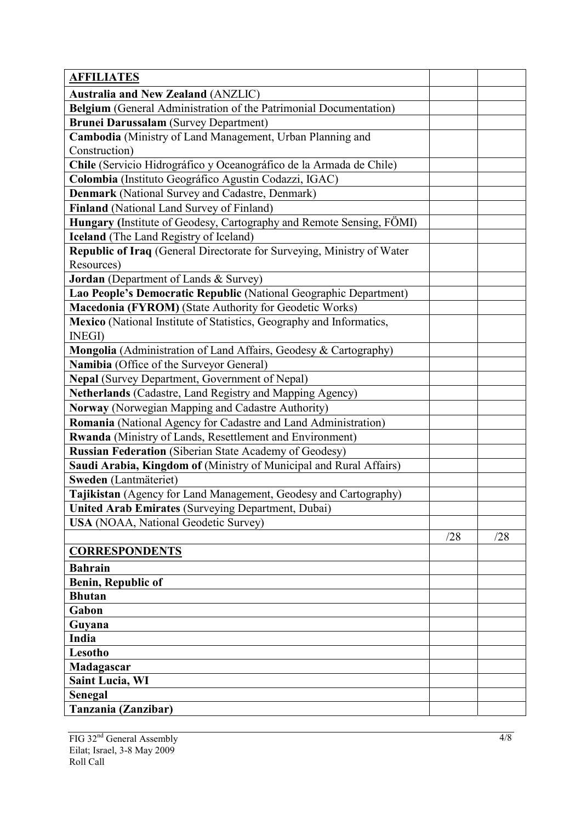| <b>AFFILIATES</b>                                                      |     |     |
|------------------------------------------------------------------------|-----|-----|
| <b>Australia and New Zealand (ANZLIC)</b>                              |     |     |
| Belgium (General Administration of the Patrimonial Documentation)      |     |     |
| <b>Brunei Darussalam</b> (Survey Department)                           |     |     |
| Cambodia (Ministry of Land Management, Urban Planning and              |     |     |
| Construction)                                                          |     |     |
| Chile (Servicio Hidrográfico y Oceanográfico de la Armada de Chile)    |     |     |
| Colombia (Instituto Geográfico Agustin Codazzi, IGAC)                  |     |     |
| Denmark (National Survey and Cadastre, Denmark)                        |     |     |
| Finland (National Land Survey of Finland)                              |     |     |
| Hungary (Institute of Geodesy, Cartography and Remote Sensing, FÖMI)   |     |     |
| <b>Iceland</b> (The Land Registry of Iceland)                          |     |     |
| Republic of Iraq (General Directorate for Surveying, Ministry of Water |     |     |
| Resources)                                                             |     |     |
| Jordan (Department of Lands & Survey)                                  |     |     |
| Lao People's Democratic Republic (National Geographic Department)      |     |     |
| Macedonia (FYROM) (State Authority for Geodetic Works)                 |     |     |
| Mexico (National Institute of Statistics, Geography and Informatics,   |     |     |
| <b>INEGI</b> )                                                         |     |     |
| Mongolia (Administration of Land Affairs, Geodesy & Cartography)       |     |     |
| Namibia (Office of the Surveyor General)                               |     |     |
| Nepal (Survey Department, Government of Nepal)                         |     |     |
| Netherlands (Cadastre, Land Registry and Mapping Agency)               |     |     |
| Norway (Norwegian Mapping and Cadastre Authority)                      |     |     |
| Romania (National Agency for Cadastre and Land Administration)         |     |     |
| Rwanda (Ministry of Lands, Resettlement and Environment)               |     |     |
| <b>Russian Federation</b> (Siberian State Academy of Geodesy)          |     |     |
| Saudi Arabia, Kingdom of (Ministry of Municipal and Rural Affairs)     |     |     |
| Sweden (Lantmäteriet)                                                  |     |     |
| Tajikistan (Agency for Land Management, Geodesy and Cartography)       |     |     |
| <b>United Arab Emirates (Surveying Department, Dubai)</b>              |     |     |
| <b>USA</b> (NOAA, National Geodetic Survey)                            |     |     |
|                                                                        | /28 | /28 |
| <b>CORRESPONDENTS</b>                                                  |     |     |
| <b>Bahrain</b>                                                         |     |     |
| <b>Benin, Republic of</b>                                              |     |     |
| <b>Bhutan</b>                                                          |     |     |
| Gabon                                                                  |     |     |
| Guyana                                                                 |     |     |
| India                                                                  |     |     |
| Lesotho                                                                |     |     |
| Madagascar                                                             |     |     |
| <b>Saint Lucia, WI</b>                                                 |     |     |
| <b>Senegal</b>                                                         |     |     |
| Tanzania (Zanzibar)                                                    |     |     |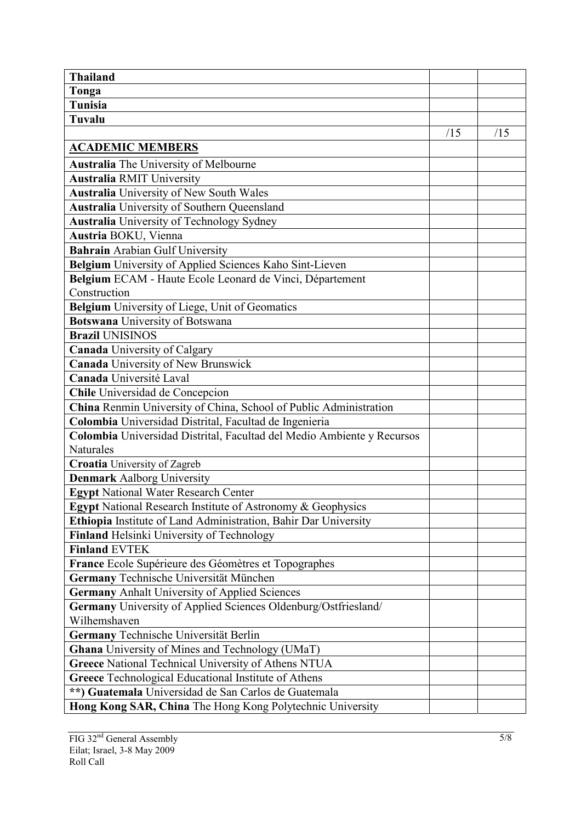| <b>Thailand</b>                                                        |     |     |
|------------------------------------------------------------------------|-----|-----|
| Tonga                                                                  |     |     |
| <b>Tunisia</b>                                                         |     |     |
| <b>Tuvalu</b>                                                          |     |     |
|                                                                        | /15 | /15 |
| <b>ACADEMIC MEMBERS</b>                                                |     |     |
| Australia The University of Melbourne                                  |     |     |
| <b>Australia RMIT University</b>                                       |     |     |
| <b>Australia</b> University of New South Wales                         |     |     |
| <b>Australia</b> University of Southern Queensland                     |     |     |
| <b>Australia</b> University of Technology Sydney                       |     |     |
| Austria BOKU, Vienna                                                   |     |     |
| <b>Bahrain Arabian Gulf University</b>                                 |     |     |
| Belgium University of Applied Sciences Kaho Sint-Lieven                |     |     |
| Belgium ECAM - Haute Ecole Leonard de Vinci, Département               |     |     |
| Construction                                                           |     |     |
| Belgium University of Liege, Unit of Geomatics                         |     |     |
| <b>Botswana</b> University of Botswana                                 |     |     |
| <b>Brazil UNISINOS</b>                                                 |     |     |
| <b>Canada University of Calgary</b>                                    |     |     |
| Canada University of New Brunswick                                     |     |     |
| Canada Université Laval                                                |     |     |
| Chile Universidad de Concepcion                                        |     |     |
| China Renmin University of China, School of Public Administration      |     |     |
| Colombia Universidad Distrital, Facultad de Ingenieria                 |     |     |
| Colombia Universidad Distrital, Facultad del Medio Ambiente y Recursos |     |     |
| <b>Naturales</b>                                                       |     |     |
| <b>Croatia</b> University of Zagreb                                    |     |     |
| <b>Denmark Aalborg University</b>                                      |     |     |
| <b>Egypt National Water Research Center</b>                            |     |     |
| Egypt National Research Institute of Astronomy & Geophysics            |     |     |
| Ethiopia Institute of Land Administration, Bahir Dar University        |     |     |
| Finland Helsinki University of Technology                              |     |     |
| <b>Finland EVTEK</b>                                                   |     |     |
| France Ecole Supérieure des Géomètres et Topographes                   |     |     |
| Germany Technische Universität München                                 |     |     |
| <b>Germany Anhalt University of Applied Sciences</b>                   |     |     |
| Germany University of Applied Sciences Oldenburg/Ostfriesland/         |     |     |
| Wilhemshaven                                                           |     |     |
| Germany Technische Universität Berlin                                  |     |     |
| <b>Ghana</b> University of Mines and Technology (UMaT)                 |     |     |
| <b>Greece National Technical University of Athens NTUA</b>             |     |     |
| Greece Technological Educational Institute of Athens                   |     |     |
| **) Guatemala Universidad de San Carlos de Guatemala                   |     |     |
| Hong Kong SAR, China The Hong Kong Polytechnic University              |     |     |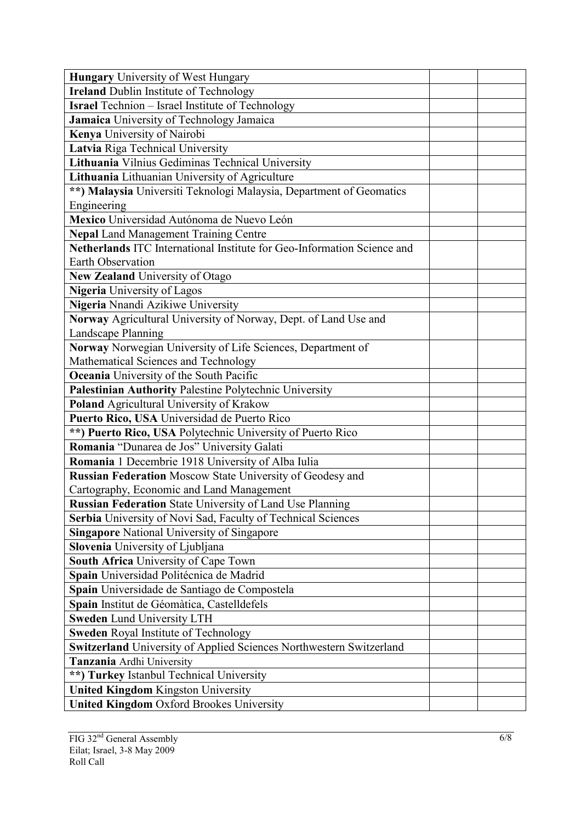| <b>Hungary</b> University of West Hungary                               |
|-------------------------------------------------------------------------|
| <b>Ireland Dublin Institute of Technology</b>                           |
| <b>Israel</b> Technion – Israel Institute of Technology                 |
| Jamaica University of Technology Jamaica                                |
| Kenya University of Nairobi                                             |
| Latvia Riga Technical University                                        |
| Lithuania Vilnius Gediminas Technical University                        |
| Lithuania Lithuanian University of Agriculture                          |
| **) Malaysia Universiti Teknologi Malaysia, Department of Geomatics     |
| Engineering                                                             |
| Mexico Universidad Autónoma de Nuevo León                               |
| <b>Nepal Land Management Training Centre</b>                            |
| Netherlands ITC International Institute for Geo-Information Science and |
| Earth Observation                                                       |
| <b>New Zealand University of Otago</b>                                  |
| <b>Nigeria</b> University of Lagos                                      |
| Nigeria Nnandi Azikiwe University                                       |
| Norway Agricultural University of Norway, Dept. of Land Use and         |
| Landscape Planning                                                      |
| Norway Norwegian University of Life Sciences, Department of             |
| Mathematical Sciences and Technology                                    |
| Oceania University of the South Pacific                                 |
| Palestinian Authority Palestine Polytechnic University                  |
| Poland Agricultural University of Krakow                                |
| Puerto Rico, USA Universidad de Puerto Rico                             |
| **) Puerto Rico, USA Polytechnic University of Puerto Rico              |
| Romania "Dunarea de Jos" University Galati                              |
| Romania 1 Decembrie 1918 University of Alba Iulia                       |
| <b>Russian Federation Moscow State University of Geodesy and</b>        |
| Cartography, Economic and Land Management                               |
| Russian Federation State University of Land Use Planning                |
| Serbia University of Novi Sad, Faculty of Technical Sciences            |
| <b>Singapore National University of Singapore</b>                       |
| Slovenia University of Ljubljana                                        |
| South Africa University of Cape Town                                    |
| Spain Universidad Politécnica de Madrid                                 |
| Spain Universidade de Santiago de Compostela                            |
| Spain Institut de Géomàtica, Castelldefels                              |
| <b>Sweden Lund University LTH</b>                                       |
| <b>Sweden Royal Institute of Technology</b>                             |
| Switzerland University of Applied Sciences Northwestern Switzerland     |
| Tanzania Ardhi University                                               |
| **) Turkey Istanbul Technical University                                |
| <b>United Kingdom Kingston University</b>                               |
| <b>United Kingdom Oxford Brookes University</b>                         |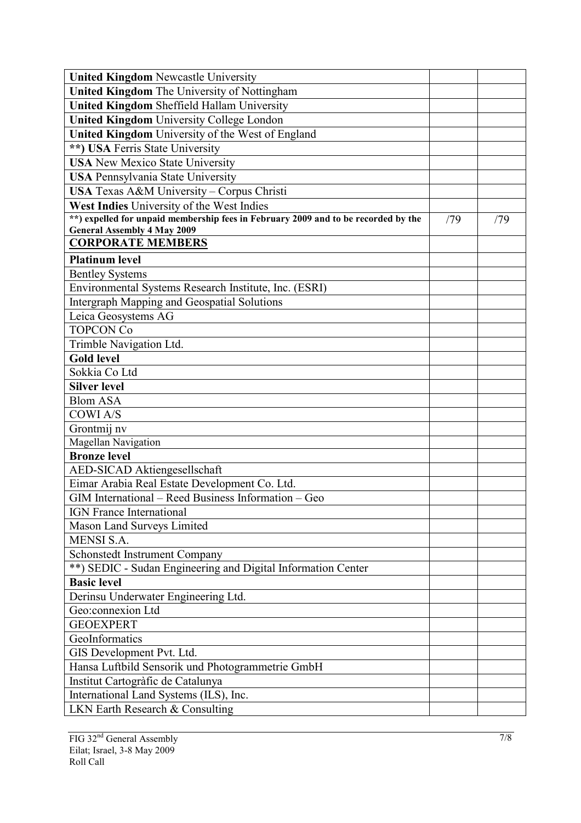| <b>United Kingdom Newcastle University</b>                                         |     |     |
|------------------------------------------------------------------------------------|-----|-----|
| United Kingdom The University of Nottingham                                        |     |     |
| <b>United Kingdom Sheffield Hallam University</b>                                  |     |     |
| <b>United Kingdom University College London</b>                                    |     |     |
| United Kingdom University of the West of England                                   |     |     |
| **) USA Ferris State University                                                    |     |     |
| <b>USA</b> New Mexico State University                                             |     |     |
| <b>USA Pennsylvania State University</b>                                           |     |     |
| USA Texas A&M University - Corpus Christi                                          |     |     |
| West Indies University of the West Indies                                          |     |     |
| **) expelled for unpaid membership fees in February 2009 and to be recorded by the | /79 | /79 |
| <b>General Assembly 4 May 2009</b>                                                 |     |     |
| <b>CORPORATE MEMBERS</b>                                                           |     |     |
| <b>Platinum level</b>                                                              |     |     |
| <b>Bentley Systems</b>                                                             |     |     |
| Environmental Systems Research Institute, Inc. (ESRI)                              |     |     |
| <b>Intergraph Mapping and Geospatial Solutions</b>                                 |     |     |
| Leica Geosystems AG                                                                |     |     |
| <b>TOPCON Co</b>                                                                   |     |     |
| Trimble Navigation Ltd.                                                            |     |     |
| <b>Gold level</b>                                                                  |     |     |
| Sokkia Co Ltd                                                                      |     |     |
| <b>Silver level</b>                                                                |     |     |
| <b>Blom ASA</b>                                                                    |     |     |
| <b>COWIA/S</b>                                                                     |     |     |
| Grontmij nv                                                                        |     |     |
| Magellan Navigation                                                                |     |     |
| <b>Bronze</b> level                                                                |     |     |
| AED-SICAD Aktiengesellschaft                                                       |     |     |
| Eimar Arabia Real Estate Development Co. Ltd.                                      |     |     |
| GIM International – Reed Business Information – Geo                                |     |     |
| <b>IGN</b> France International                                                    |     |     |
| Mason Land Surveys Limited                                                         |     |     |
| <b>MENSI S.A.</b>                                                                  |     |     |
| Schonstedt Instrument Company                                                      |     |     |
| **) SEDIC - Sudan Engineering and Digital Information Center                       |     |     |
| <b>Basic level</b>                                                                 |     |     |
| Derinsu Underwater Engineering Ltd.                                                |     |     |
| Geo:connexion Ltd                                                                  |     |     |
| <b>GEOEXPERT</b>                                                                   |     |     |
| GeoInformatics                                                                     |     |     |
| GIS Development Pvt. Ltd.                                                          |     |     |
| Hansa Luftbild Sensorik und Photogrammetrie GmbH                                   |     |     |
| Institut Cartogràfic de Catalunya                                                  |     |     |
| International Land Systems (ILS), Inc.                                             |     |     |
| LKN Earth Research & Consulting                                                    |     |     |